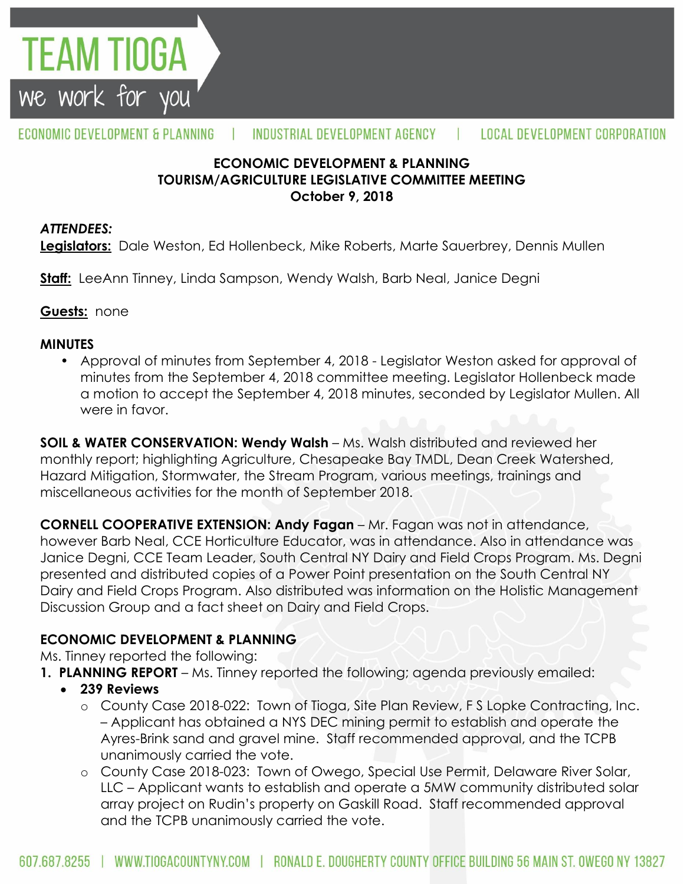

### **ECONOMIC DEVELOPMENT & PLANNING TOURISM/AGRICULTURE LEGISLATIVE COMMITTEE MEETING October 9, 2018**

### *ATTENDEES:*

**FEAM TIOGA** 

we work for you

**Legislators:** Dale Weston, Ed Hollenbeck, Mike Roberts, Marte Sauerbrey, Dennis Mullen

**Staff:** LeeAnn Tinney, Linda Sampson, Wendy Walsh, Barb Neal, Janice Degni

### **Guests:** none

### **MINUTES**

• Approval of minutes from September 4, 2018 - Legislator Weston asked for approval of minutes from the September 4, 2018 committee meeting. Legislator Hollenbeck made a motion to accept the September 4, 2018 minutes, seconded by Legislator Mullen. All were in favor.

**SOIL & WATER CONSERVATION: Wendy Walsh** – Ms. Walsh distributed and reviewed her monthly report; highlighting Agriculture, Chesapeake Bay TMDL, Dean Creek Watershed, Hazard Mitigation, Stormwater, the Stream Program, various meetings, trainings and miscellaneous activities for the month of September 2018.

**CORNELL COOPERATIVE EXTENSION: Andy Fagan** – Mr. Fagan was not in attendance, however Barb Neal, CCE Horticulture Educator, was in attendance. Also in attendance was Janice Degni, CCE Team Leader, South Central NY Dairy and Field Crops Program. Ms. Degni presented and distributed copies of a Power Point presentation on the South Central NY Dairy and Field Crops Program. Also distributed was information on the Holistic Management Discussion Group and a fact sheet on Dairy and Field Crops.

## **ECONOMIC DEVELOPMENT & PLANNING**

Ms. Tinney reported the following:

- **1. PLANNING REPORT** Ms. Tinney reported the following; agenda previously emailed:
	- **239 Reviews**
		- o County Case 2018-022: Town of Tioga, Site Plan Review, F S Lopke Contracting, Inc. – Applicant has obtained a NYS DEC mining permit to establish and operate the Ayres-Brink sand and gravel mine. Staff recommended approval, and the TCPB unanimously carried the vote.
		- o County Case 2018-023: Town of Owego, Special Use Permit, Delaware River Solar, LLC – Applicant wants to establish and operate a 5MW community distributed solar array project on Rudin's property on Gaskill Road. Staff recommended approval and the TCPB unanimously carried the vote.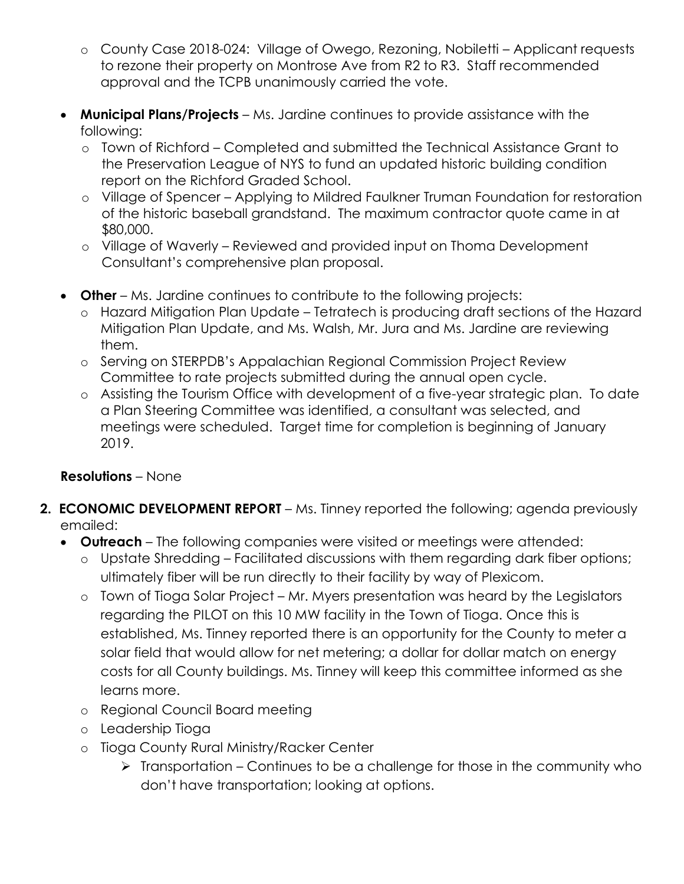- o County Case 2018-024: Village of Owego, Rezoning, Nobiletti Applicant requests to rezone their property on Montrose Ave from R2 to R3. Staff recommended approval and the TCPB unanimously carried the vote.
- **Municipal Plans/Projects**  Ms. Jardine continues to provide assistance with the following:
	- o Town of Richford Completed and submitted the Technical Assistance Grant to the Preservation League of NYS to fund an updated historic building condition report on the Richford Graded School.
	- o Village of Spencer Applying to Mildred Faulkner Truman Foundation for restoration of the historic baseball grandstand. The maximum contractor quote came in at \$80,000.
	- o Village of Waverly Reviewed and provided input on Thoma Development Consultant's comprehensive plan proposal.
- **Other**  Ms. Jardine continues to contribute to the following projects:
	- o Hazard Mitigation Plan Update Tetratech is producing draft sections of the Hazard Mitigation Plan Update, and Ms. Walsh, Mr. Jura and Ms. Jardine are reviewing them.
	- o Serving on STERPDB's Appalachian Regional Commission Project Review Committee to rate projects submitted during the annual open cycle.
	- o Assisting the Tourism Office with development of a five-year strategic plan. To date a Plan Steering Committee was identified, a consultant was selected, and meetings were scheduled. Target time for completion is beginning of January 2019.

# **Resolutions** – None

- **2. ECONOMIC DEVELOPMENT REPORT** Ms. Tinney reported the following; agenda previously emailed:
	- **Outreach**  The following companies were visited or meetings were attended:
		- o Upstate Shredding Facilitated discussions with them regarding dark fiber options; ultimately fiber will be run directly to their facility by way of Plexicom.
		- o Town of Tioga Solar Project Mr. Myers presentation was heard by the Legislators regarding the PILOT on this 10 MW facility in the Town of Tioga. Once this is established, Ms. Tinney reported there is an opportunity for the County to meter a solar field that would allow for net metering; a dollar for dollar match on energy costs for all County buildings. Ms. Tinney will keep this committee informed as she learns more.
		- o Regional Council Board meeting
		- o Leadership Tioga
		- o Tioga County Rural Ministry/Racker Center
			- $\triangleright$  Transportation Continues to be a challenge for those in the community who don't have transportation; looking at options.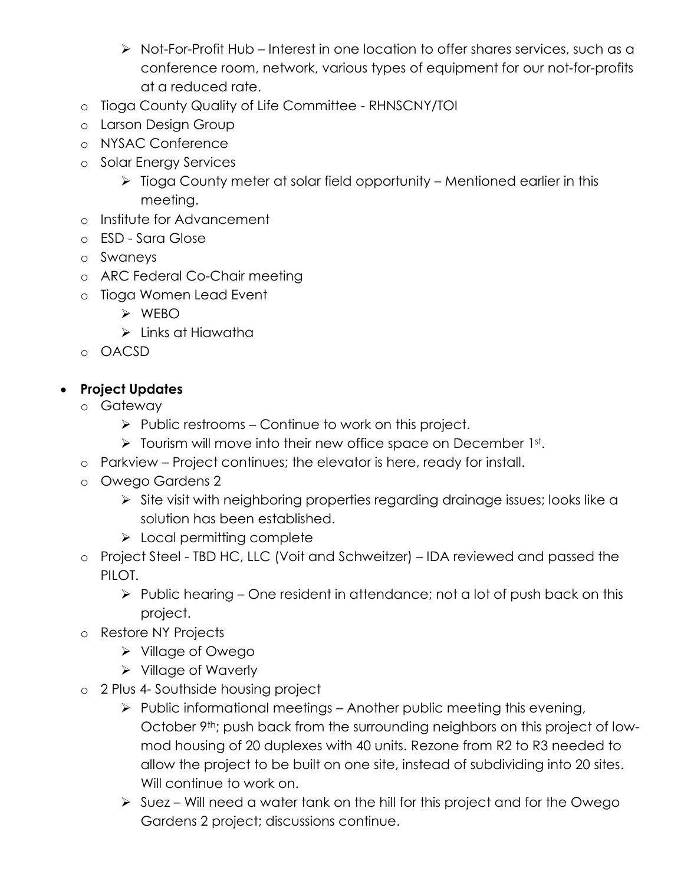- Not-For-Profit Hub Interest in one location to offer shares services, such as a conference room, network, various types of equipment for our not-for-profits at a reduced rate.
- o Tioga County Quality of Life Committee RHNSCNY/TOI
- o Larson Design Group
- o NYSAC Conference
- o Solar Energy Services
	- $\triangleright$  Tioga County meter at solar field opportunity Mentioned earlier in this meeting.
- o Institute for Advancement
- o ESD Sara Glose
- o Swaneys
- o ARC Federal Co-Chair meeting
- o Tioga Women Lead Event
	- WEBO
	- $\triangleright$  Links at Hiawatha
- o OACSD

# **Project Updates**

- o Gateway
	- $\triangleright$  Public restrooms Continue to work on this project.
	- $\triangleright$  Tourism will move into their new office space on December 1st.
- o Parkview Project continues; the elevator is here, ready for install.
- o Owego Gardens 2
	- Site visit with neighboring properties regarding drainage issues; looks like a solution has been established.
	- $\triangleright$  Local permitting complete
- o Project Steel TBD HC, LLC (Voit and Schweitzer) IDA reviewed and passed the PILOT.
	- $\triangleright$  Public hearing One resident in attendance; not a lot of push back on this project.
- o Restore NY Projects
	- Village of Owego
	- $\triangleright$  Village of Waverly
- o 2 Plus 4- Southside housing project
	- $\triangleright$  Public informational meetings Another public meeting this evening, October 9<sup>th</sup>; push back from the surrounding neighbors on this project of lowmod housing of 20 duplexes with 40 units. Rezone from R2 to R3 needed to allow the project to be built on one site, instead of subdividing into 20 sites. Will continue to work on.
	- $\triangleright$  Suez Will need a water tank on the hill for this project and for the Owego Gardens 2 project; discussions continue.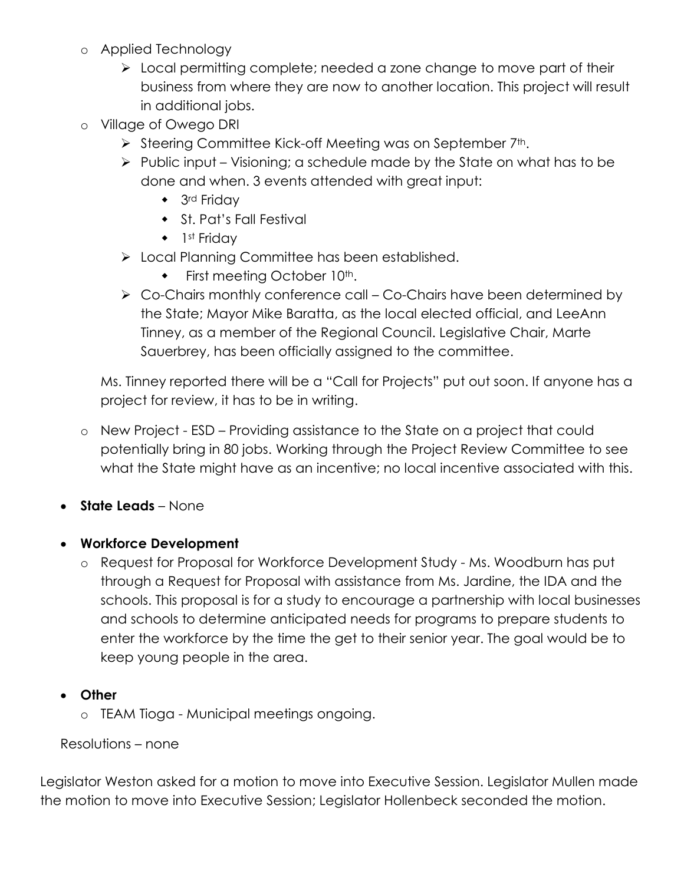- o Applied Technology
	- $\triangleright$  Local permitting complete; needed a zone change to move part of their business from where they are now to another location. This project will result in additional jobs.
- o Village of Owego DRI
	- Steering Committee Kick-off Meeting was on September 7th.
	- $\triangleright$  Public input Visioning; a schedule made by the State on what has to be done and when. 3 events attended with great input:
		- ◆ 3<sup>rd</sup> Friday
		- St. Pat's Fall Festival
		- $\bullet$  1st Friday
	- > Local Planning Committee has been established.
		- First meeting October 10th.
	- $\triangleright$  Co-Chairs monthly conference call Co-Chairs have been determined by the State; Mayor Mike Baratta, as the local elected official, and LeeAnn Tinney, as a member of the Regional Council. Legislative Chair, Marte Sauerbrey, has been officially assigned to the committee.

Ms. Tinney reported there will be a "Call for Projects" put out soon. If anyone has a project for review, it has to be in writing.

- o New Project ESD Providing assistance to the State on a project that could potentially bring in 80 jobs. Working through the Project Review Committee to see what the State might have as an incentive; no local incentive associated with this.
- **State Leads** None
- **Workforce Development**
	- o Request for Proposal for Workforce Development Study Ms. Woodburn has put through a Request for Proposal with assistance from Ms. Jardine, the IDA and the schools. This proposal is for a study to encourage a partnership with local businesses and schools to determine anticipated needs for programs to prepare students to enter the workforce by the time the get to their senior year. The goal would be to keep young people in the area.

## **Other**

o TEAM Tioga - Municipal meetings ongoing.

### Resolutions – none

Legislator Weston asked for a motion to move into Executive Session. Legislator Mullen made the motion to move into Executive Session; Legislator Hollenbeck seconded the motion.